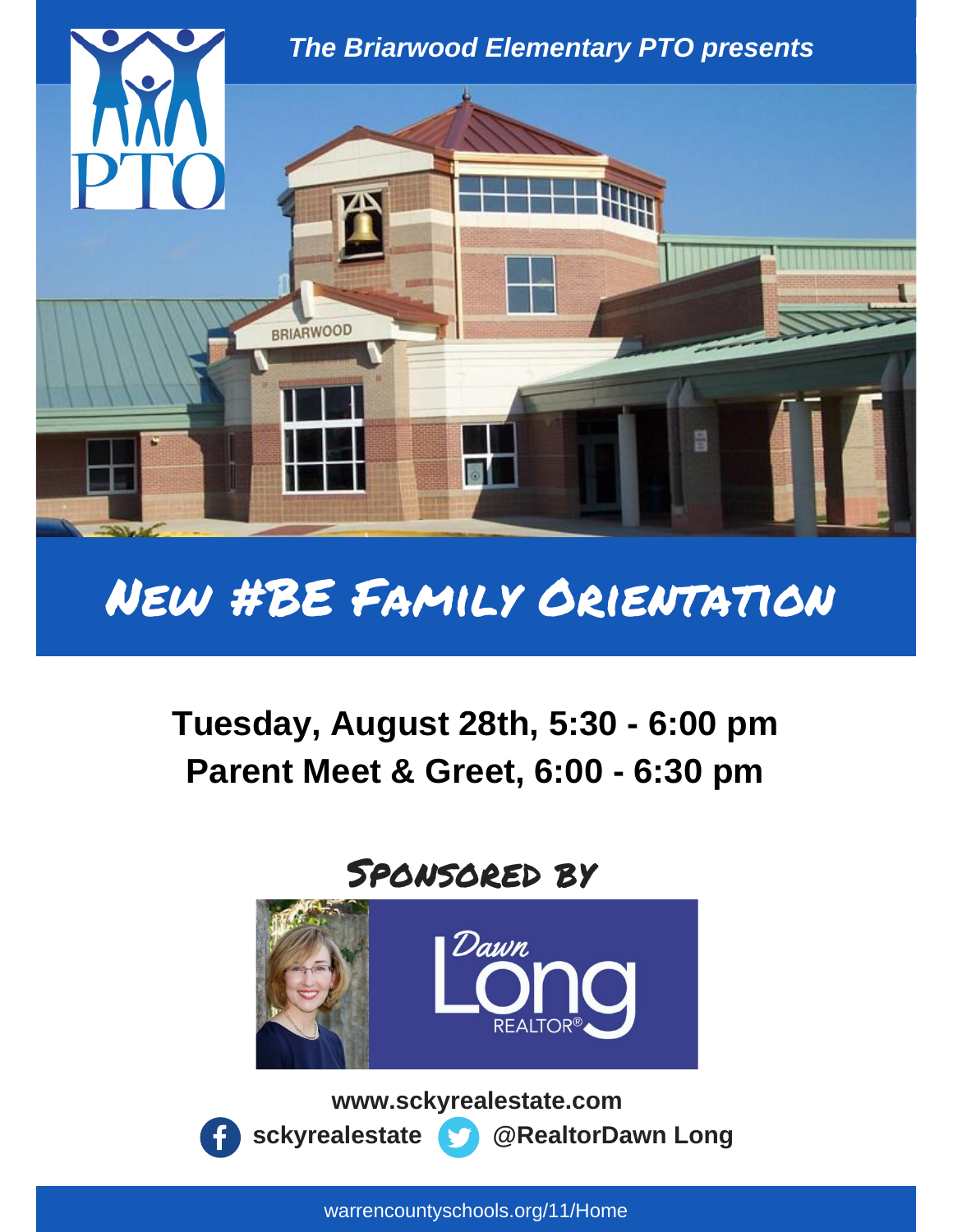

# New #BE Family Orientation

## **Tuesday, August 28th, 5:30 - 6:00 pm Parent Meet & Greet, 6:00 - 6:30 pm**

## Sponsored by



**www.sckyrealestate.com sckyrealestate @RealtorDawn Long**

warrencountyschools.org/11/Home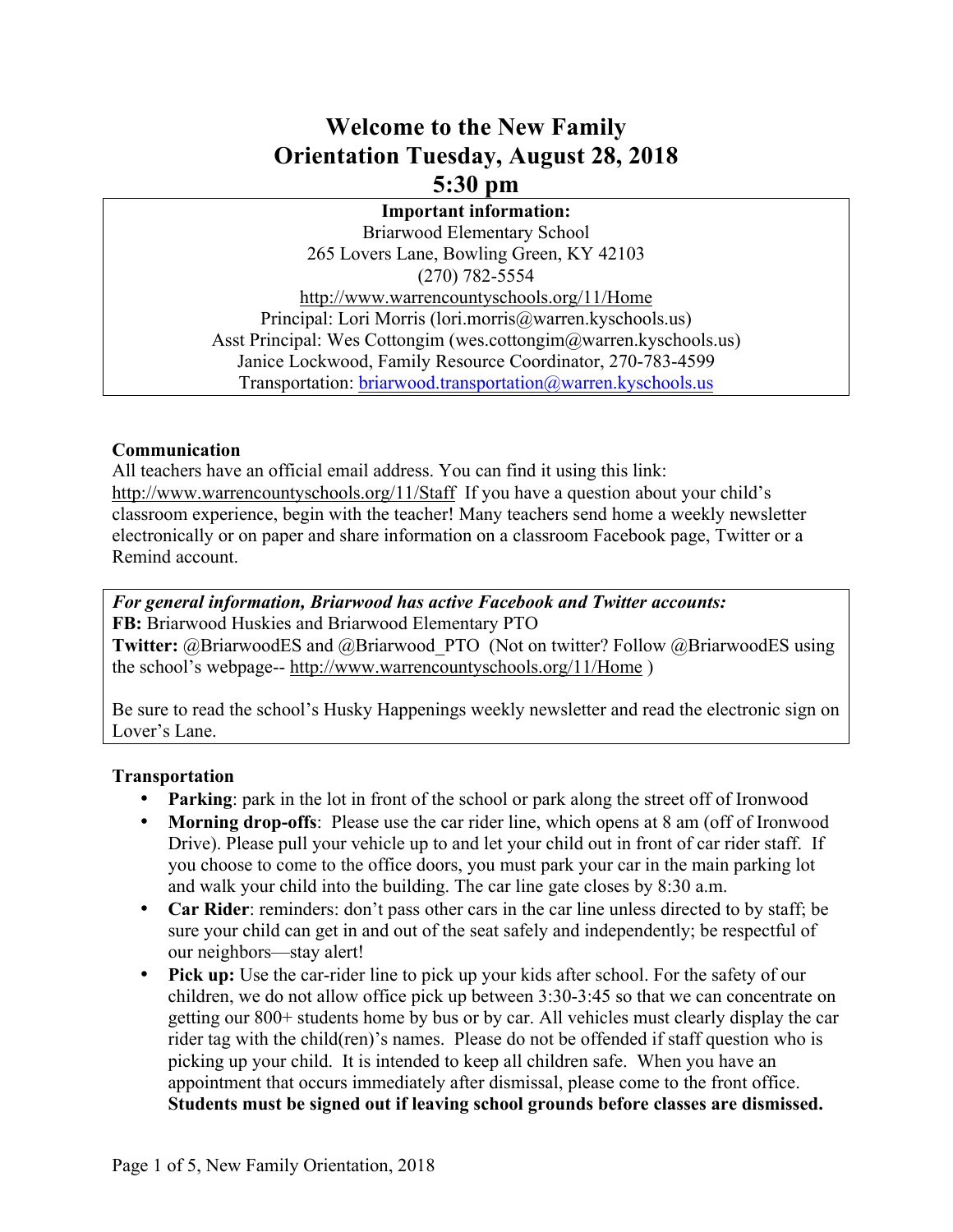### **Welcome to the New Family Orientation Tuesday, August 28, 2018 5:30 pm**

#### **Important information:**

Briarwood Elementary School 265 Lovers Lane, Bowling Green, KY 42103 (270) 782-5554 http://www.warrencountyschools.org/11/Home Principal: Lori Morris (lori.morris@warren.kyschools.us) Asst Principal: Wes Cottongim (wes.cottongim@warren.kyschools.us) Janice Lockwood, Family Resource Coordinator, 270-783-4599 Transportation: briarwood.transportation@warren.kyschools.us

#### **Communication**

All teachers have an official email address. You can find it using this link: http://www.warrencountyschools.org/11/Staff If you have a question about your child's classroom experience, begin with the teacher! Many teachers send home a weekly newsletter electronically or on paper and share information on a classroom Facebook page, Twitter or a Remind account.

*For general information, Briarwood has active Facebook and Twitter accounts:*  **FB:** Briarwood Huskies and Briarwood Elementary PTO **Twitter:** @BriarwoodES and @Briarwood\_PTO (Not on twitter? Follow @BriarwoodES using the school's webpage-- http://www.warrencountyschools.org/11/Home )

Be sure to read the school's Husky Happenings weekly newsletter and read the electronic sign on Lover's Lane.

#### **Transportation**

- **Parking**: park in the lot in front of the school or park along the street off of Ironwood
- **Morning drop-offs**: Please use the car rider line, which opens at 8 am (off of Ironwood Drive). Please pull your vehicle up to and let your child out in front of car rider staff. If you choose to come to the office doors, you must park your car in the main parking lot and walk your child into the building. The car line gate closes by 8:30 a.m.
- **Car Rider**: reminders: don't pass other cars in the car line unless directed to by staff; be sure your child can get in and out of the seat safely and independently; be respectful of our neighbors—stay alert!
- **Pick up:** Use the car-rider line to pick up your kids after school. For the safety of our children, we do not allow office pick up between 3:30-3:45 so that we can concentrate on getting our 800+ students home by bus or by car. All vehicles must clearly display the car rider tag with the child(ren)'s names. Please do not be offended if staff question who is picking up your child. It is intended to keep all children safe. When you have an appointment that occurs immediately after dismissal, please come to the front office. **Students must be signed out if leaving school grounds before classes are dismissed.**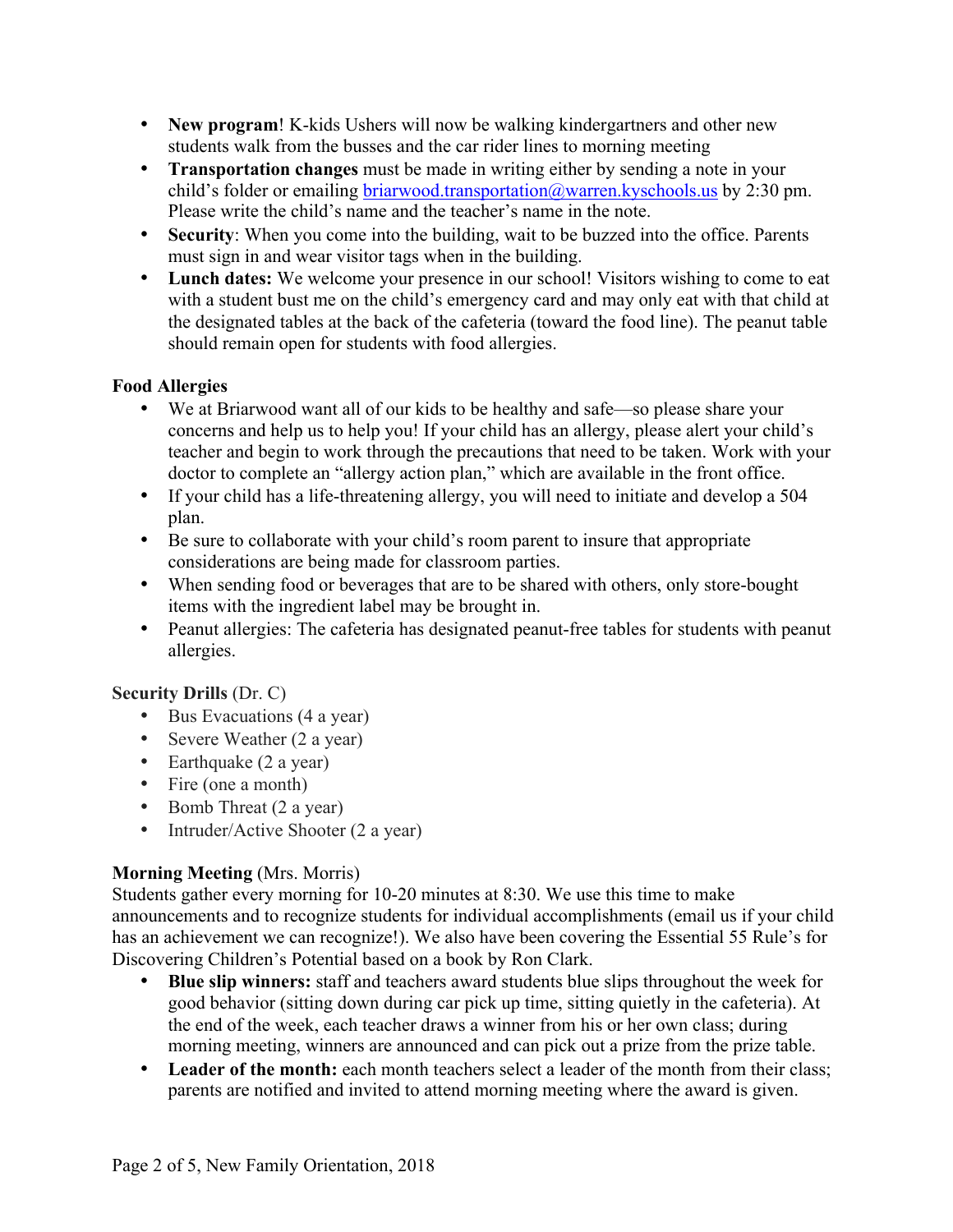- **New program**! K-kids Ushers will now be walking kindergartners and other new students walk from the busses and the car rider lines to morning meeting
- **Transportation changes** must be made in writing either by sending a note in your child's folder or emailing briarwood.transportation@warren.kyschools.us by 2:30 pm. Please write the child's name and the teacher's name in the note.
- **Security**: When you come into the building, wait to be buzzed into the office. Parents must sign in and wear visitor tags when in the building.
- **Lunch dates:** We welcome your presence in our school! Visitors wishing to come to eat with a student bust me on the child's emergency card and may only eat with that child at the designated tables at the back of the cafeteria (toward the food line). The peanut table should remain open for students with food allergies.

#### **Food Allergies**

- We at Briarwood want all of our kids to be healthy and safe—so please share your concerns and help us to help you! If your child has an allergy, please alert your child's teacher and begin to work through the precautions that need to be taken. Work with your doctor to complete an "allergy action plan," which are available in the front office.
- If your child has a life-threatening allergy, you will need to initiate and develop a 504 plan.
- Be sure to collaborate with your child's room parent to insure that appropriate considerations are being made for classroom parties.
- When sending food or beverages that are to be shared with others, only store-bought items with the ingredient label may be brought in.
- Peanut allergies: The cafeteria has designated peanut-free tables for students with peanut allergies.

#### **Security Drills** (Dr. C)

- Bus Evacuations (4 a year)
- Severe Weather (2 a year)
- Earthquake (2 a year)
- Fire (one a month)
- Bomb Threat (2 a year)
- Intruder/Active Shooter (2 a year)

#### **Morning Meeting** (Mrs. Morris)

Students gather every morning for 10-20 minutes at 8:30. We use this time to make announcements and to recognize students for individual accomplishments (email us if your child has an achievement we can recognize!). We also have been covering the Essential 55 Rule's for Discovering Children's Potential based on a book by Ron Clark.

- **Blue slip winners:** staff and teachers award students blue slips throughout the week for good behavior (sitting down during car pick up time, sitting quietly in the cafeteria). At the end of the week, each teacher draws a winner from his or her own class; during morning meeting, winners are announced and can pick out a prize from the prize table.
- **Leader of the month:** each month teachers select a leader of the month from their class; parents are notified and invited to attend morning meeting where the award is given.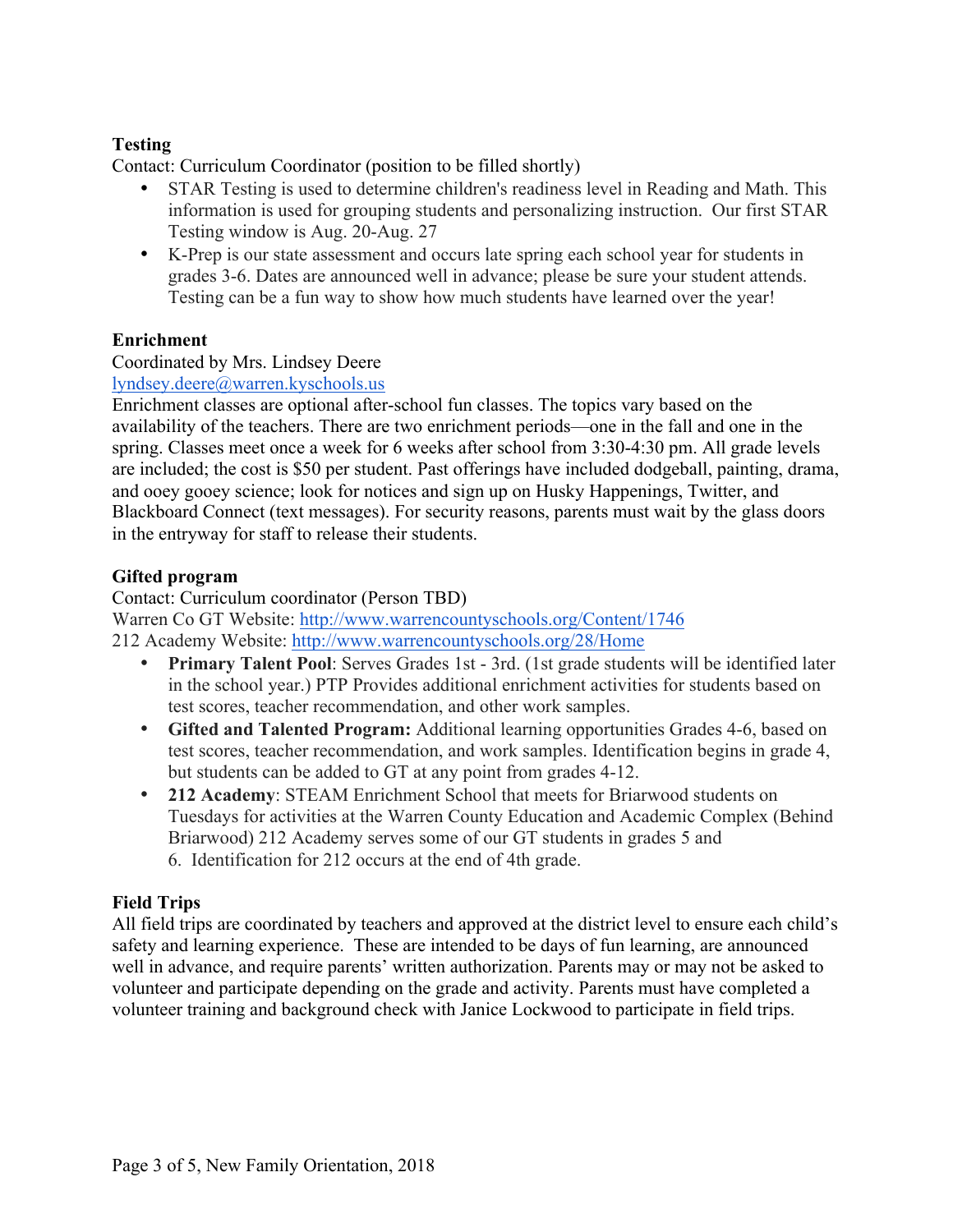#### **Testing**

Contact: Curriculum Coordinator (position to be filled shortly)

- STAR Testing is used to determine children's readiness level in Reading and Math. This information is used for grouping students and personalizing instruction. Our first STAR Testing window is Aug. 20-Aug. 27
- K-Prep is our state assessment and occurs late spring each school year for students in grades 3-6. Dates are announced well in advance; please be sure your student attends. Testing can be a fun way to show how much students have learned over the year!

#### **Enrichment**

#### Coordinated by Mrs. Lindsey Deere

lyndsey.deere@warren.kyschools.us

Enrichment classes are optional after-school fun classes. The topics vary based on the availability of the teachers. There are two enrichment periods—one in the fall and one in the spring. Classes meet once a week for 6 weeks after school from 3:30-4:30 pm. All grade levels are included; the cost is \$50 per student. Past offerings have included dodgeball, painting, drama, and ooey gooey science; look for notices and sign up on Husky Happenings, Twitter, and Blackboard Connect (text messages). For security reasons, parents must wait by the glass doors in the entryway for staff to release their students.

#### **Gifted program**

Contact: Curriculum coordinator (Person TBD) Warren Co GT Website: http://www.warrencountyschools.org/Content/1746 212 Academy Website: http://www.warrencountyschools.org/28/Home

- **Primary Talent Pool**: Serves Grades 1st 3rd. (1st grade students will be identified later in the school year.) PTP Provides additional enrichment activities for students based on test scores, teacher recommendation, and other work samples.
- **Gifted and Talented Program:** Additional learning opportunities Grades 4-6, based on test scores, teacher recommendation, and work samples. Identification begins in grade 4, but students can be added to GT at any point from grades 4-12.
- **212 Academy**: STEAM Enrichment School that meets for Briarwood students on Tuesdays for activities at the Warren County Education and Academic Complex (Behind Briarwood) 212 Academy serves some of our GT students in grades 5 and 6. Identification for 212 occurs at the end of 4th grade.

#### **Field Trips**

All field trips are coordinated by teachers and approved at the district level to ensure each child's safety and learning experience. These are intended to be days of fun learning, are announced well in advance, and require parents' written authorization. Parents may or may not be asked to volunteer and participate depending on the grade and activity. Parents must have completed a volunteer training and background check with Janice Lockwood to participate in field trips.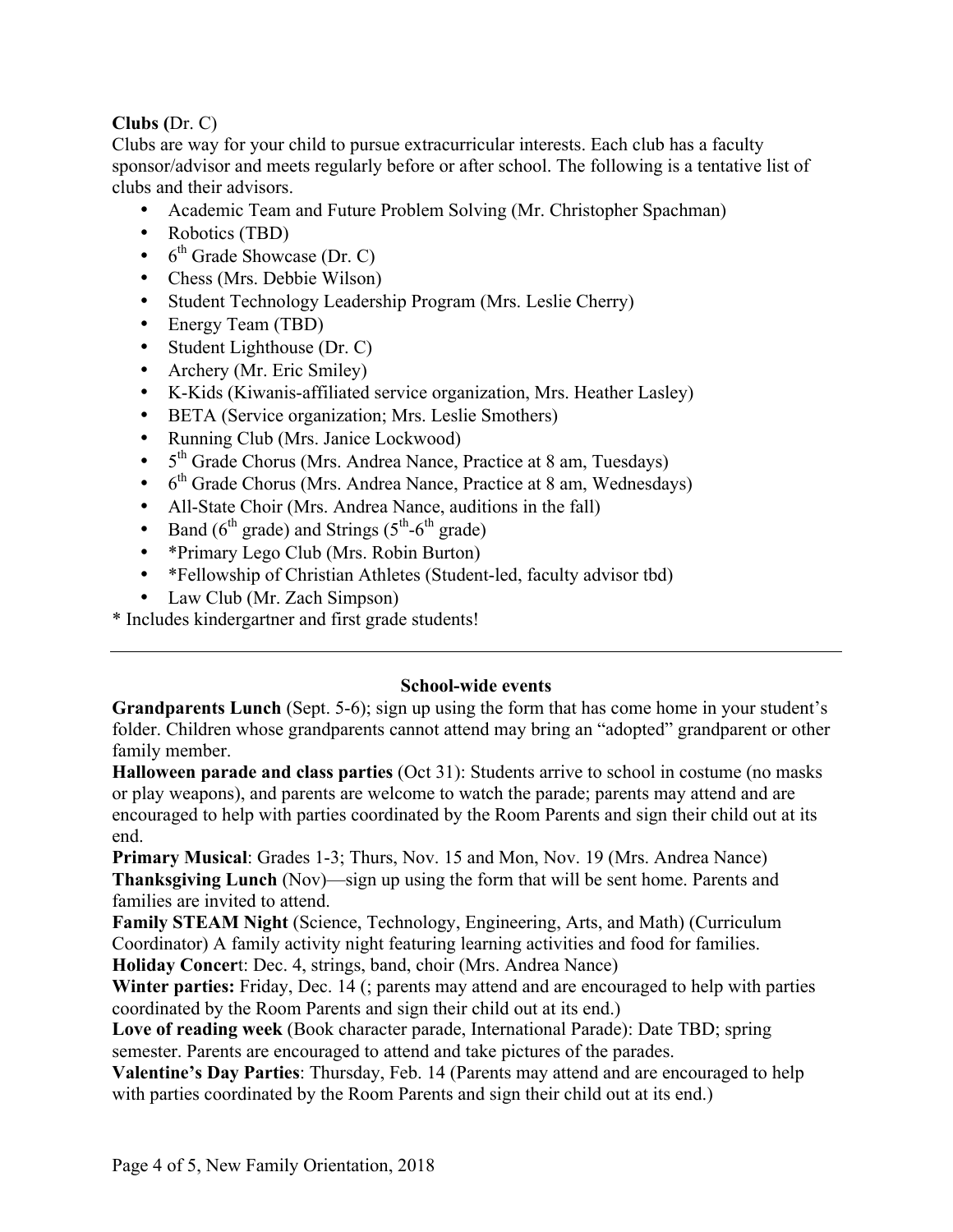#### **Clubs (**Dr. C)

Clubs are way for your child to pursue extracurricular interests. Each club has a faculty sponsor/advisor and meets regularly before or after school. The following is a tentative list of clubs and their advisors.

- Academic Team and Future Problem Solving (Mr. Christopher Spachman)
- Robotics (TBD)
- $\bullet$  6<sup>th</sup> Grade Showcase (Dr. C)
- Chess (Mrs. Debbie Wilson)
- Student Technology Leadership Program (Mrs. Leslie Cherry)
- Energy Team (TBD)
- Student Lighthouse (Dr. C)
- Archery (Mr. Eric Smiley)
- K-Kids (Kiwanis-affiliated service organization, Mrs. Heather Lasley)
- BETA (Service organization; Mrs. Leslie Smothers)
- Running Club (Mrs. Janice Lockwood)
- 5<sup>th</sup> Grade Chorus (Mrs. Andrea Nance, Practice at 8 am, Tuesdays)
- $\bullet$  6<sup>th</sup> Grade Chorus (Mrs. Andrea Nance, Practice at 8 am, Wednesdays)
- All-State Choir (Mrs. Andrea Nance, auditions in the fall)
- Band  $(6<sup>th</sup> \text{ grade})$  and Strings  $(5<sup>th</sup>-6<sup>th</sup> \text{ grade})$
- \*Primary Lego Club (Mrs. Robin Burton)
- \*Fellowship of Christian Athletes (Student-led, faculty advisor tbd)
- Law Club (Mr. Zach Simpson)
- \* Includes kindergartner and first grade students!

#### **School-wide events**

**Grandparents Lunch** (Sept. 5-6); sign up using the form that has come home in your student's folder. Children whose grandparents cannot attend may bring an "adopted" grandparent or other family member.

**Halloween parade and class parties** (Oct 31): Students arrive to school in costume (no masks or play weapons), and parents are welcome to watch the parade; parents may attend and are encouraged to help with parties coordinated by the Room Parents and sign their child out at its end.

**Primary Musical**: Grades 1-3; Thurs, Nov. 15 and Mon, Nov. 19 (Mrs. Andrea Nance) **Thanksgiving Lunch** (Nov)—sign up using the form that will be sent home. Parents and families are invited to attend.

**Family STEAM Night** (Science, Technology, Engineering, Arts, and Math) (Curriculum Coordinator) A family activity night featuring learning activities and food for families. **Holiday Concer**t: Dec. 4, strings, band, choir (Mrs. Andrea Nance)

**Winter parties:** Friday, Dec. 14 (; parents may attend and are encouraged to help with parties coordinated by the Room Parents and sign their child out at its end.)

**Love of reading week** (Book character parade, International Parade): Date TBD; spring semester. Parents are encouraged to attend and take pictures of the parades.

**Valentine's Day Parties**: Thursday, Feb. 14 (Parents may attend and are encouraged to help with parties coordinated by the Room Parents and sign their child out at its end.)